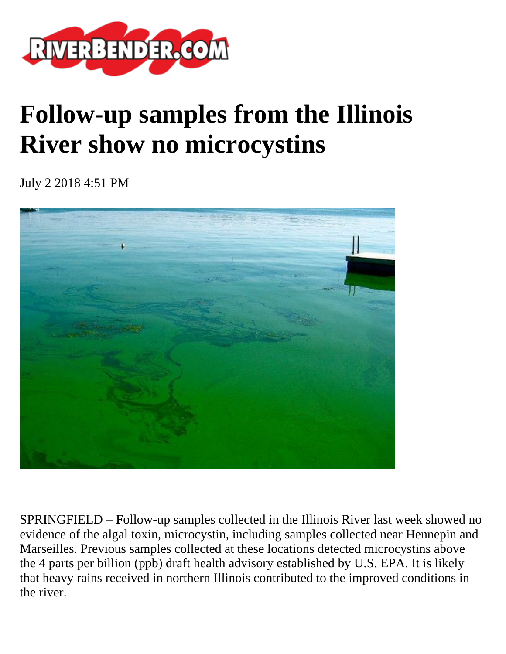

## **Follow-up samples from the Illinois River show no microcystins**

July 2 2018 4:51 PM



SPRINGFIELD – Follow-up samples collected in the Illinois River last week showed no evidence of the algal toxin, microcystin, including samples collected near Hennepin and Marseilles. Previous samples collected at these locations detected microcystins above the 4 parts per billion (ppb) draft health advisory established by U.S. EPA. It is likely that heavy rains received in northern Illinois contributed to the improved conditions in the river.